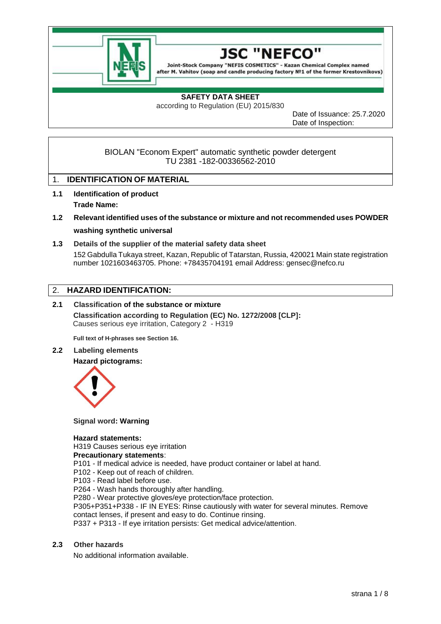



# **SAFETY DATA SHEET**

according to Regulation (EU) 2015/830

Date of Issuance: 25.7.2020 Date of Inspection:

BIOLAN "Econom Expert" automatic synthetic powder detergent TU 2381 -182-00336562-2010

# 1. **IDENTIFICATION OF MATERIAL**

- **1.1 Identification of product Trade Name:**
- **1.2 Relevant identified uses of the substance or mixture and not recommended uses POWDER washing synthetic universal**
- **1.3 Details of the supplier of the material safety data sheet** 152 Gabdulla Tukaya street, Kazan, Republic of Tatarstan, Russia, 420021 Main state registration number 1021603463705. Phone: +78435704191 email Address: gensec@nefco.ru

# 2. **HAZARD IDENTIFICATION:**

## **2.1 Classification of the substance or mixture Classification according to Regulation (EC) No. 1272/2008 [CLP]:** Causes serious eye irritation, Category 2 - H319

**Full text of H-phrases see Section 16.**

**2.2 Labeling elements**

**Hazard pictograms:**



**Signal word: Warning**

#### **Hazard statements:**

H319 Causes serious eye irritation

#### **Precautionary statements**:

P101 - If medical advice is needed, have product container or label at hand.

P102 - Keep out of reach of children.

P103 - Read label before use.

P264 - Wash hands thoroughly after handling.

P280 - Wear protective gloves/eye protection/face protection.

P305+P351+P338 - IF IN EYES: Rinse cautiously with water for several minutes. Remove contact lenses, if present and easy to do. Continue rinsing.

P337 + P313 - If eye irritation persists: Get medical advice/attention.

#### **2.3 Other hazards**

No additional information available.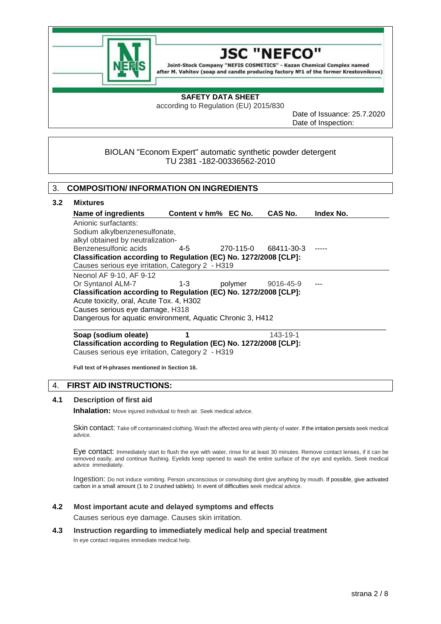



#### **SAFETY DATA SHEET**

according to Regulation (EU) 2015/830

Date of Issuance: 25.7.2020 Date of Inspection:

## BIOLAN "Econom Expert" automatic synthetic powder detergent TU 2381 -182-00336562-2010

#### 3. **COMPOSITION/ INFORMATION ON INGREDIENTS**

#### **3.2 Mixtures**

| Name of ingredients                                              | Content v hm% EC No. |           | <b>CAS No.</b> | <b>Index No.</b> |
|------------------------------------------------------------------|----------------------|-----------|----------------|------------------|
| Anionic surfactants:                                             |                      |           |                |                  |
| Sodium alkylbenzenesulfonate,                                    |                      |           |                |                  |
| alkyl obtained by neutralization-                                |                      |           |                |                  |
| Benzenesulfonic acids                                            | $4-5$                | 270-115-0 | 68411-30-3     |                  |
| Classification according to Regulation (EC) No. 1272/2008 [CLP]: |                      |           |                |                  |
| Causes serious eye irritation, Category 2 - H319                 |                      |           |                |                  |
| Neonol AF 9-10, AF 9-12                                          |                      |           |                |                  |
| Or Syntanol ALM-7                                                | $1 - 3$              | polymer   | 9016-45-9      |                  |
| Classification according to Regulation (EC) No. 1272/2008 [CLP]: |                      |           |                |                  |
| Acute toxicity, oral, Acute Tox. 4, H302                         |                      |           |                |                  |
| Causes serious eye damage, H318                                  |                      |           |                |                  |
| Dangerous for aquatic environment, Aquatic Chronic 3, H412       |                      |           |                |                  |
|                                                                  |                      |           |                |                  |

**Soap (sodium oleate) 1 123-19-1 Classification according to Regulation (EC) No. 1272/2008 [CLP]:** Causes serious eye irritation, Category 2 - H319

**Full text of H-phrases mentioned in Section 16.**

## 4. **FIRST AID INSTRUCTIONS:**

#### **4.1 Description of first aid**

**Inhalation:** Move injured individual to fresh air. Seek medical advice.

Skin contact: Take off contaminated clothing. Wash the affected area with plenty of water. If the irritation persists seek medical advice.

Eye contact: Immediately start to flush the eye with water, rinse for at least 30 minutes. Remove contact lenses, if it can be removed easily, and continue flushing. Eyelids keep opened to wash the entire surface of the eye and eyelids. Seek medical advice immediately.

Ingestion: Do not induce vomiting. Person unconscious or convulsing dont give anything by mouth. If possible, give activated carbon in a small amount (1 to 2 crushed tablets). In event of difficulties seek medical advice.

#### **4.2 Most important acute and delayed symptoms and effects**

Causes serious eye damage. Causes skin irritation.

#### **4.3 Instruction regarding to immediately medical help and special treatment**

In eye contact requires immediate medical help.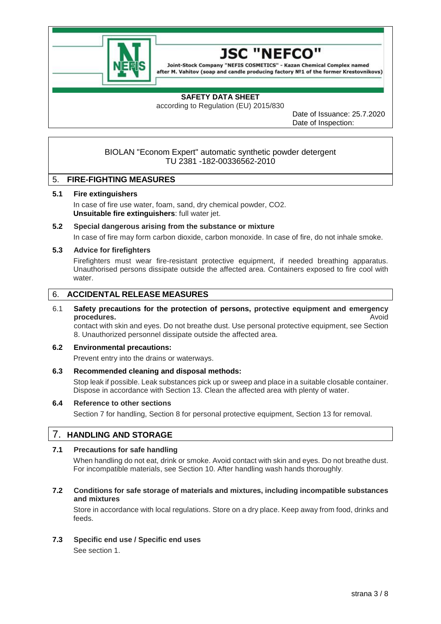



## **SAFETY DATA SHEET**

according to Regulation (EU) 2015/830

Date of Issuance: 25.7.2020 Date of Inspection:

## BIOLAN "Econom Expert" automatic synthetic powder detergent TU 2381 -182-00336562-2010

## 5. **FIRE-FIGHTING MEASURES**

#### **5.1 Fire extinguishers**

In case of fire use water, foam, sand, dry chemical powder, CO2. **Unsuitable fire extinguishers**: full water jet.

# **5.2 Special dangerous arising from the substance or mixture**

In case of fire may form carbon dioxide, carbon monoxide. In case of fire, do not inhale smoke.

#### **5.3 Advice for firefighters**

Firefighters must wear fire-resistant protective equipment, if needed breathing apparatus. Unauthorised persons dissipate outside the affected area. Containers exposed to fire cool with water

# 6. **ACCIDENTAL RELEASE MEASURES**

## 6.1 **Safety precautions for the protection of persons, protective equipment and emergency procedures.** Avoid

contact with skin and eyes. Do not breathe dust. Use personal protective equipment, see Section 8. Unauthorized personnel dissipate outside the affected area.

#### **6.2 Environmental precautions:**

Prevent entry into the drains or waterways.

#### **6.3 Recommended cleaning and disposal methods:**

Stop leak if possible. Leak substances pick up or sweep and place in a suitable closable container. Dispose in accordance with Section 13. Clean the affected area with plenty of water.

#### **6.4 Reference to other sections**

Section 7 for handling, Section 8 for personal protective equipment, Section 13 for removal.

# 7. **HANDLING AND STORAGE**

## **7.1 Precautions for safe handling**

When handling do not eat, drink or smoke. Avoid contact with skin and eyes. Do not breathe dust. For incompatible materials, see Section 10. After handling wash hands thoroughly.

#### **7.2 Conditions for safe storage of materials and mixtures, including incompatible substances and mixtures**

Store in accordance with local regulations. Store on a dry place. Keep away from food, drinks and feeds.

**7.3 Specific end use / Specific end uses**

See section 1.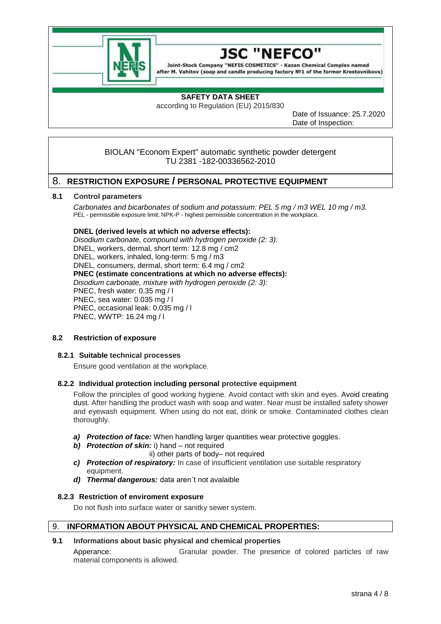



# **SAFETY DATA SHEET**

according to Regulation (EU) 2015/830

Date of Issuance: 25.7.2020 Date of Inspection:

## BIOLAN "Econom Expert" automatic synthetic powder detergent TU 2381 -182-00336562-2010

# 8. **RESTRICTION EXPOSURE / PERSONAL PROTECTIVE EQUIPMENT**

#### **8.1 Control parameters**

*Carbonates and bicarbonates of sodium and potassium: PEL 5 mg / m3 WEL 10 mg / m3.* PEL - permissible exposure limit; NPK-P - highest permissible concentration in the workplace.

#### **DNEL (derived levels at which no adverse effects):**

*Disodium carbonate, compound with hydrogen peroxide (2: 3):* DNEL, workers, dermal, short term: 12.8 mg / cm2 DNEL, workers, inhaled, long-term: 5 mg / m3 DNEL, consumers, dermal, short term: 6.4 mg / cm2 **PNEC (estimate concentrations at which no adverse effects):** *Disodium carbonate, mixture with hydrogen peroxide (2: 3):* PNEC, fresh water: 0.35 mg / l PNEC, sea water: 0.035 mg / l PNEC, occasional leak: 0.035 mg / l PNEC, WWTP: 16.24 mg / l

#### **8.2 Restriction of exposure**

#### **8.2.1 Suitable technical processes**

Ensure good ventilation at the workplace.

## **8.2.2 Individual protection including personal protective equipment**

Follow the principles of good working hygiene. Avoid contact with skin and eyes. Avoid creating dust. After handling the product wash with soap and water. Near must be installed safety shower and eyewash equipment. When using do not eat, drink or smoke. Contaminated clothes clean thoroughly.

- *a) Protection of face:* When handling larger quantities wear protective goggles.
- *b) Protection of skin:* i) hand not required
	- ii) other parts of body– not required
- *c) Protection of respiratory:* In case of insufficient ventilation use suitable respiratory equipment.
- *d) Thermal dangerous:* data aren´t not avalaible

## **8.2.3 Restriction of enviroment exposure**

Do not flush into surface water or sanitky sewer system.

## 9. **INFORMATION ABOUT PHYSICAL AND CHEMICAL PROPERTIES:**

## **9.1 Informations about basic physical and chemical properties**

Apperance: Granular powder. The presence of colored particles of raw material components is allowed.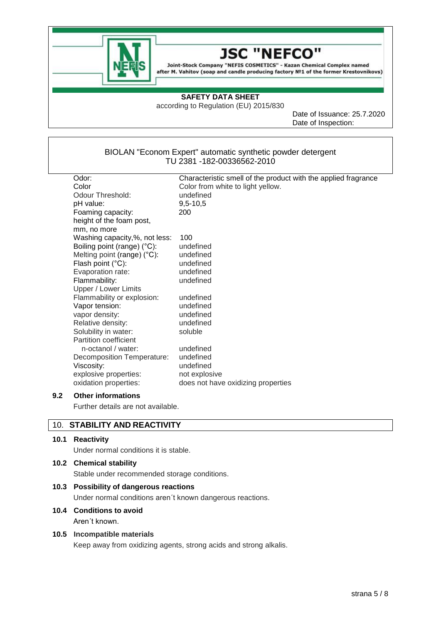

#### JSC **NEFCO**

Joint-Stock Company "NEFIS COSMETICS" - Kazan Chemical Complex named after M. Vahitov (soap and candle producing factory Nº1 of the former Krestovnikovs)

## **SAFETY DATA SHEET**

according to Regulation (EU) 2015/830

Date of Issuance: 25.7.2020 Date of Inspection:

## BIOLAN "Econom Expert" automatic synthetic powder detergent TU 2381 -182-00336562-2010

| Odor:                                 | Characteristic smell of the product with the applied fragrance |
|---------------------------------------|----------------------------------------------------------------|
| Color                                 | Color from white to light yellow.                              |
| Odour Threshold:                      | undefined                                                      |
| pH value:                             | $9,5 - 10,5$                                                   |
| Foaming capacity:                     | 200                                                            |
| height of the foam post,              |                                                                |
| mm, no more                           |                                                                |
| Washing capacity,%, not less:         | 100                                                            |
| Boiling point (range) (°C):           | undefined                                                      |
| Melting point (range) $(^{\circ}C)$ : | undefined                                                      |
| Flash point $(^{\circ}C)$ :           | undefined                                                      |
| Evaporation rate:                     | undefined                                                      |
| Flammability:                         | undefined                                                      |
| Upper / Lower Limits                  |                                                                |
| Flammability or explosion:            | undefined                                                      |
| Vapor tension:                        | undefined                                                      |
| vapor density:                        | undefined                                                      |
| Relative density:                     | undefined                                                      |
| Solubility in water:                  | soluble                                                        |
| Partition coefficient                 |                                                                |
| n-octanol / water:                    | undefined                                                      |
| Decomposition Temperature:            | undefined                                                      |
| Viscosity:                            | undefined                                                      |
| explosive properties:                 | not explosive                                                  |
| oxidation properties:                 | does not have oxidizing properties                             |

## **9.2 Other informations**

Further details are not available.

# 10. **STABILITY AND REACTIVITY**

#### **10.1 Reactivity**

Under normal conditions it is stable.

#### **10.2 Chemical stability**

Stable under recommended storage conditions.

#### **10.3 Possibility of dangerous reactions**

Under normal conditions aren´t known dangerous reactions.

# **10.4 Conditions to avoid**

Aren´t known.

#### **10.5 Incompatible materials**

Keep away from oxidizing agents, strong acids and strong alkalis.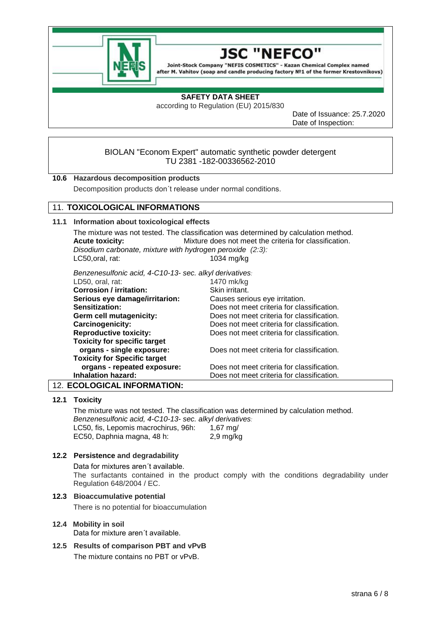



## **SAFETY DATA SHEET**

according to Regulation (EU) 2015/830

Date of Issuance: 25.7.2020 Date of Inspection:

## BIOLAN "Econom Expert" automatic synthetic powder detergent TU 2381 -182-00336562-2010

## **10.6 Hazardous decomposition products**

Decomposition products don´t release under normal conditions.

# 11. **TOXICOLOGICAL INFORMATIONS**

#### **11.1 Information about toxicological effects**

The mixture was not tested. The classification was determined by calculation method. **Acute toxicity:** Mixture does not meet the criteria for classification. *Disodium carbonate, mixture with hydrogen peroxide (2:3):* LC50,oral, rat: 1034 mg/kg

*Benzenesulfonic acid, 4-C10-13- sec. alkyl derivatives:*

| LD50, oral, rat:                    | 1470 mk/kg                                 |
|-------------------------------------|--------------------------------------------|
| <b>Corrosion / irritation:</b>      | Skin irritant.                             |
| Serious eye damage/irritarion:      | Causes serious eye irritation.             |
| Sensitization:                      | Does not meet criteria for classification. |
| Germ cell mutagenicity:             | Does not meet criteria for classification. |
| Carcinogenicity:                    | Does not meet criteria for classification. |
| <b>Reproductive toxicity:</b>       | Does not meet criteria for classification. |
| <b>Toxicity for specific target</b> |                                            |
| organs - single exposure:           | Does not meet criteria for classification. |
| <b>Toxicity for Specific target</b> |                                            |
| organs - repeated exposure:         | Does not meet criteria for classification. |
| <b>Inhalation hazard:</b>           | Does not meet criteria for classification. |
| FAALAAIA 41. INFARMATIAN.           |                                            |

## 12. **ECOLOGICAL INFORMATION:**

## **12.1 Toxicity**

The mixture was not tested. The classification was determined by calculation method. *Benzenesulfonic acid, 4-C10-13- sec. alkyl derivatives:*

LC50, fis, Lepomis macrochirus, 96h: 1,67 mg/ EC50, Daphnia magna, 48 h: 2,9 mg/kg

#### **12.2 Persistence and degradability**

#### Data for mixtures aren´t available.

The surfactants contained in the product comply with the conditions degradability under Regulation 648/2004 / EC.

#### **12.3 Bioaccumulative potential**

There is no potential for bioaccumulation

#### **12.4 Mobility in soil**

Data for mixture aren´t available.

**12.5 Results of comparison PBT and vPvB** The mixture contains no PBT or vPvB.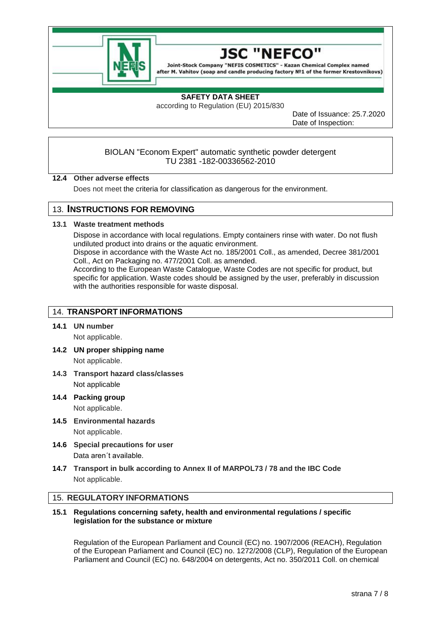



## **SAFETY DATA SHEET**

according to Regulation (EU) 2015/830

Date of Issuance: 25.7.2020 Date of Inspection:

## BIOLAN "Econom Expert" automatic synthetic powder detergent TU 2381 -182-00336562-2010

#### **12.4 Other adverse effects**

Does not meet the criteria for classification as dangerous for the environment.

# 13. **INSTRUCTIONS FOR REMOVING**

#### **13.1 Waste treatment methods**

Dispose in accordance with local regulations. Empty containers rinse with water. Do not flush undiluted product into drains or the aquatic environment.

Dispose in accordance with the Waste Act no. 185/2001 Coll., as amended, Decree 381/2001 Coll., Act on Packaging no. 477/2001 Coll. as amended.

According to the European Waste Catalogue, Waste Codes are not specific for product, but specific for application. Waste codes should be assigned by the user, preferably in discussion with the authorities responsible for waste disposal.

# 14. **TRANSPORT INFORMATIONS**

## **14.1 UN number**

Not applicable.

- **14.2 UN proper shipping name** Not applicable.
- **14.3 Transport hazard class/classes** Not applicable
- **14.4 Packing group** Not applicable.
- **14.5 Environmental hazards** Not applicable.
- **14.6 Special precautions for user** Data aren´t available.
- **14.7 Transport in bulk according to Annex II of MARPOL73 / 78 and the IBC Code** Not applicable.

## 15. **REGULATORY INFORMATIONS**

**15.1 Regulations concerning safety, health and environmental regulations / specific legislation for the substance or mixture**

Regulation of the European Parliament and Council (EC) no. 1907/2006 (REACH), Regulation of the European Parliament and Council (EC) no. 1272/2008 (CLP), Regulation of the European Parliament and Council (EC) no. 648/2004 on detergents, Act no. 350/2011 Coll. on chemical